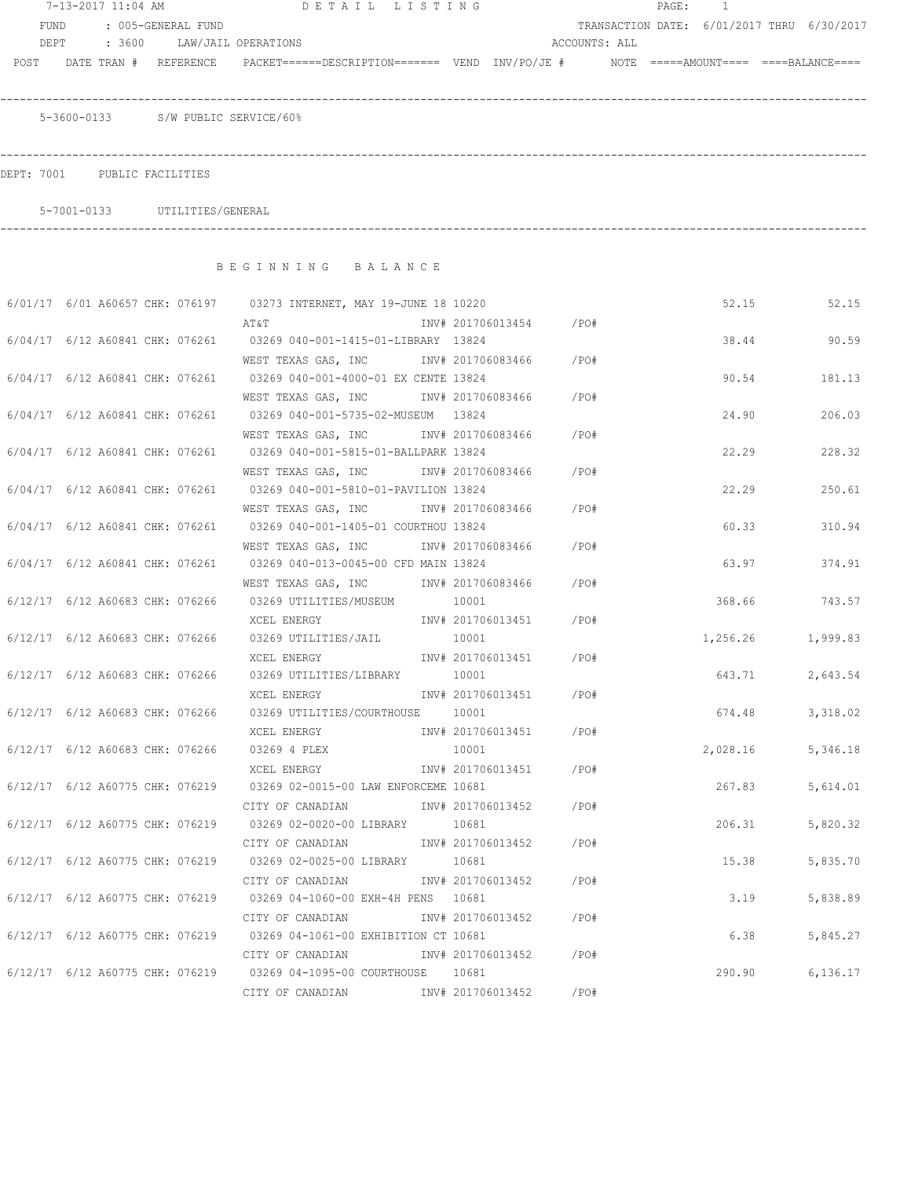|      |                                    | 7-13-2017 11:04 AM DETAIL LISTING                                                                                             |       |                        |      |               | PAGE: 1 |          |       |                                            |
|------|------------------------------------|-------------------------------------------------------------------------------------------------------------------------------|-------|------------------------|------|---------------|---------|----------|-------|--------------------------------------------|
| FUND | : 005-GENERAL FUND                 |                                                                                                                               |       |                        |      |               |         |          |       | TRANSACTION DATE: 6/01/2017 THRU 6/30/2017 |
|      | DEPT : 3600 LAW/JAIL OPERATIONS    |                                                                                                                               |       |                        |      | ACCOUNTS: ALL |         |          |       |                                            |
|      |                                    | POST DATE TRAN # REFERENCE PACKET======DESCRIPTION======= VEND INV/PO/JE # NOTE =====AMOUNT==== ====BALANCE====               |       |                        |      |               |         |          |       |                                            |
|      | 5-3600-0133 S/W PUBLIC SERVICE/60% |                                                                                                                               |       |                        |      |               |         |          |       |                                            |
|      |                                    |                                                                                                                               |       |                        |      |               |         |          |       |                                            |
|      | DEPT: 7001 PUBLIC FACILITIES       |                                                                                                                               |       |                        |      |               |         |          |       |                                            |
|      | 5-7001-0133 UTILITIES/GENERAL      |                                                                                                                               |       |                        |      |               |         |          |       |                                            |
|      |                                    | BEGINNING BALANCE                                                                                                             |       |                        |      |               |         |          |       |                                            |
|      |                                    |                                                                                                                               |       |                        |      |               |         |          |       |                                            |
|      |                                    | 6/01/17 6/01 A60657 CHK: 076197 03273 INTERNET, MAY 19-JUNE 18 10220                                                          |       |                        |      |               |         |          |       | 52.15 52.15                                |
|      |                                    |                                                                                                                               |       |                        |      |               |         |          |       |                                            |
|      |                                    | 6/04/17 6/12 A60841 CHK: 076261 03269 040-001-1415-01-LIBRARY 13824                                                           |       |                        |      |               |         |          | 38.44 | 90.59                                      |
|      |                                    |                                                                                                                               |       |                        |      |               |         |          |       |                                            |
|      |                                    | 6/04/17 6/12 A60841 CHK: 076261 03269 040-001-4000-01 EX CENTE 13824                                                          |       |                        |      |               |         |          | 90.54 | 181.13                                     |
|      |                                    | WEST TEXAS GAS, INC MONTH 201706083466 / PO#<br>6/04/17 6/12 A60841 CHK: 076261 03269 040-001-5735-02-MUSEUM 13824            |       |                        |      |               |         |          |       | 206.03                                     |
|      |                                    |                                                                                                                               |       |                        |      |               |         | 24.90    |       |                                            |
|      |                                    | WEST TEXAS GAS, INC        INV# 201706083466     /PO#<br>6/04/17 6/12 A60841 CHK: 076261 03269 040-001-5815-01-BALLPARK 13824 |       |                        |      |               |         | 22.29    |       | 228.32                                     |
|      |                                    | WEST TEXAS GAS, INC        INV# 201706083466     /PO#                                                                         |       |                        |      |               |         |          |       |                                            |
|      |                                    | 6/04/17 6/12 A60841 CHK: 076261 03269 040-001-5810-01-PAVILION 13824                                                          |       |                        |      |               |         | 22.29    |       | 250.61                                     |
|      |                                    | WEST TEXAS GAS, INC        INV# 201706083466     /PO#                                                                         |       |                        |      |               |         |          |       |                                            |
|      |                                    | 6/04/17 6/12 A60841 CHK: 076261 03269 040-001-1405-01 COURTHOU 13824                                                          |       |                        |      |               |         | 60.33    |       | 310.94                                     |
|      |                                    | WEST TEXAS GAS, INC        INV# 201706083466     /PO#                                                                         |       |                        |      |               |         |          |       |                                            |
|      |                                    | 6/04/17 6/12 A60841 CHK: 076261 03269 040-013-0045-00 CFD MAIN 13824                                                          |       |                        |      |               |         | 63.97    |       | 374.91                                     |
|      |                                    | WEST TEXAS GAS, INC MOV# 201706083466 / PO#                                                                                   |       |                        |      |               |         |          |       |                                            |
|      |                                    | $6/12/17$ $6/12$ A60683 CHK: 076266 03269 UTILITIES/MUSEUM 10001                                                              |       |                        |      |               |         |          |       | 368.66 743.57                              |
|      |                                    | XCEL ENERGY                                                                                                                   |       | INV# 201706013451 /PO# |      |               |         |          |       |                                            |
|      |                                    | 6/12/17 6/12 A60683 CHK: 076266 03269 UTILITIES/JAIL                                                                          | 10001 |                        |      |               |         |          |       | 1,256.26 1,999.83                          |
|      |                                    | XCEL ENERGY                                                                                                                   |       | INV# 201706013451      | /PO# |               |         |          |       |                                            |
|      | 6/12/17 6/12 A60683 CHK: 076266    | 03269 UTILITIES/LIBRARY                                                                                                       | 10001 |                        |      |               |         | 643.71   |       | 2,643.54                                   |
|      |                                    | XCEL ENERGY                             INV# 201706013451         /PO#                                                        |       |                        |      |               |         |          |       |                                            |
|      |                                    | 6/12/17 6/12 A60683 CHK: 076266 03269 UTILITIES/COURTHOUSE 10001                                                              |       |                        |      |               |         | 674.48   |       | 3,318.02                                   |
|      |                                    | XCEL ENERGY                                                                                                                   |       | INV# 201706013451 /PO# |      |               |         |          |       |                                            |
|      |                                    | 6/12/17 6/12 A60683 CHK: 076266 03269 4 PLEX                                                                                  | 10001 |                        |      |               |         | 2,028.16 |       | 5,346.18                                   |
|      |                                    | XCEL ENERGY                                                                                                                   |       | INV# 201706013451 /PO# |      |               |         |          |       |                                            |
|      |                                    | 6/12/17 6/12 A60775 CHK: 076219 03269 02-0015-00 LAW ENFORCEME 10681<br>CITY OF CANADIAN                                      |       | INV# 201706013452 /PO# |      |               |         | 267.83   |       | 5,614.01                                   |
|      |                                    | 6/12/17 6/12 A60775 CHK: 076219 03269 02-0020-00 LIBRARY 10681                                                                |       |                        |      |               |         | 206.31   |       | 5,820.32                                   |
|      |                                    | CITY OF CANADIAN 1NV# 201706013452 / PO#                                                                                      |       |                        |      |               |         |          |       |                                            |
|      |                                    | 6/12/17 6/12 A60775 CHK: 076219 03269 02-0025-00 LIBRARY 10681                                                                |       |                        |      |               |         | 15.38    |       | 5,835.70                                   |
|      |                                    | CITY OF CANADIAN                                                                                                              |       | INV# 201706013452      | /PO# |               |         |          |       |                                            |
|      |                                    | 6/12/17 6/12 A60775 CHK: 076219 03269 04-1060-00 EXH-4H PENS 10681                                                            |       |                        |      |               |         | 3.19     |       | 5,838.89                                   |
|      |                                    | CITY OF CANADIAN                                                                                                              |       | INV# 201706013452 /PO# |      |               |         |          |       |                                            |
|      |                                    | 6/12/17 6/12 A60775 CHK: 076219 03269 04-1061-00 EXHIBITION CT 10681                                                          |       |                        |      |               |         | 6.38     |       | 5,845.27                                   |
|      |                                    | CITY OF CANADIAN 1NV# 201706013452 / PO#                                                                                      |       |                        |      |               |         |          |       |                                            |
|      |                                    | 6/12/17 6/12 A60775 CHK: 076219 03269 04-1095-00 COURTHOUSE 10681                                                             |       |                        |      |               |         | 290.90   |       | 6,136.17                                   |
|      |                                    | CITY OF CANADIAN MW# 201706013452 / PO#                                                                                       |       |                        |      |               |         |          |       |                                            |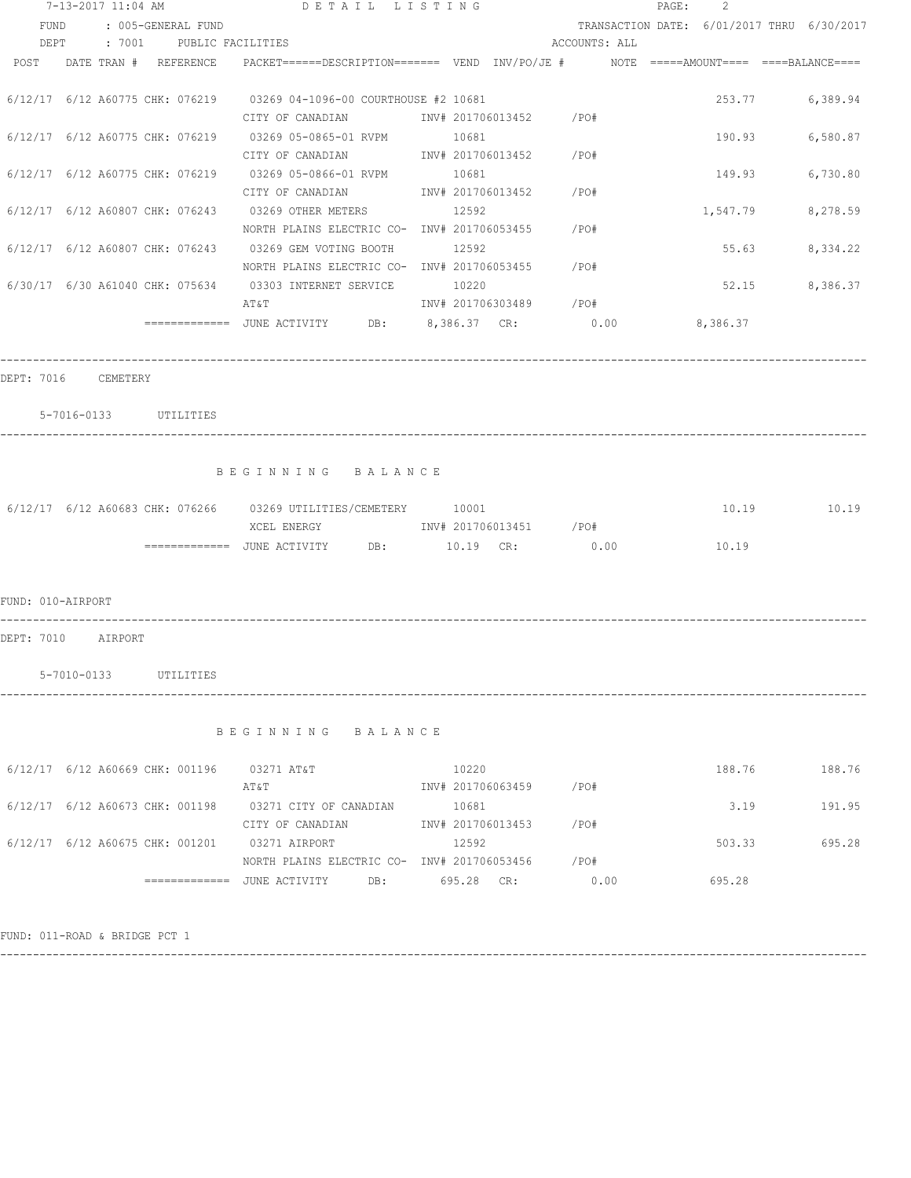| 7-13-2017 11:04 AM |                               |  |                          | DETAIL LISTING                                                                                        |                                 | PAGE :                                     | 2 |          |               |
|--------------------|-------------------------------|--|--------------------------|-------------------------------------------------------------------------------------------------------|---------------------------------|--------------------------------------------|---|----------|---------------|
| FUND               |                               |  | : 005-GENERAL FUND       |                                                                                                       |                                 | TRANSACTION DATE: 6/01/2017 THRU 6/30/2017 |   |          |               |
| DEPT               |                               |  | : 7001 PUBLIC FACILITIES |                                                                                                       |                                 | ACCOUNTS: ALL                              |   |          |               |
| POST               | DATE TRAN # REFERENCE         |  |                          | PACKET======DESCRIPTION========  VEND   INV/PO/JE #          NOTE  =====AMOUNT====  ====BALANCE====   |                                 |                                            |   |          |               |
|                    |                               |  |                          | $6/12/17$ $6/12$ A60775 CHK: 076219 03269 04-1096-00 COURTHOUSE #2 10681<br>CITY OF CANADIAN          | INV# 201706013452 /PO#          |                                            |   | 253.77   | 6,389.94      |
|                    |                               |  |                          | $6/12/17$ $6/12$ A60775 CHK: 076219 03269 05-0865-01 RVPM<br>CITY OF CANADIAN                         | 10681<br>INV# 201706013452 /PO# |                                            |   | 190.93   | 6,580.87      |
|                    |                               |  |                          | $6/12/17$ $6/12$ A60775 CHK: 076219 03269 05-0866-01 RVPM<br>CITY OF CANADIAN                         | 10681<br>INV# 201706013452 /PO# |                                            |   | 149.93   | 6,730.80      |
|                    |                               |  |                          | 6/12/17 6/12 A60807 CHK: 076243 03269 OTHER METERS<br>NORTH PLAINS ELECTRIC CO- INV# 201706053455     | 12592                           | /PO#                                       |   | 1,547.79 | 8,278.59      |
|                    |                               |  |                          | 6/12/17 6/12 A60807 CHK: 076243 03269 GEM VOTING BOOTH<br>NORTH PLAINS ELECTRIC CO- INV# 201706053455 | 12592                           | /PO#                                       |   | 55.63    | 8,334.22      |
|                    |                               |  |                          | 6/30/17 6/30 A61040 CHK: 075634 03303 INTERNET SERVICE<br>AT&T                                        | 10220<br>INV# 201706303489 /PO# |                                            |   | 52.15    | 8,386.37      |
|                    |                               |  |                          | =============    JUNE  ACTIVITY          DB:            8,386.37     CR:                   0.00       |                                 |                                            |   | 8,386.37 |               |
|                    | 5-7016-0133 UTILITIES         |  |                          | BEGINNING BALANCE                                                                                     |                                 |                                            |   |          |               |
|                    |                               |  |                          | 6/12/17 6/12 A60683 CHK: 076266 03269 UTILITIES/CEMETERY 10001<br>XCEL ENERGY                         | INV# 201706013451 /PO#          |                                            |   | 10.19    | 10.19 10.19   |
| FUND: 010-AIRPORT  |                               |  |                          |                                                                                                       |                                 |                                            |   |          |               |
| DEPT: 7010         | AIRPORT                       |  |                          |                                                                                                       |                                 |                                            |   |          |               |
|                    | 5-7010-0133                   |  | UTILITIES                |                                                                                                       |                                 |                                            |   |          |               |
|                    |                               |  |                          | BEGINNING BALANCE                                                                                     |                                 |                                            |   |          |               |
|                    |                               |  |                          | 6/12/17 6/12 A60669 CHK: 001196 03271 AT&T<br>AT&T                                                    | 10220<br>INV# 201706063459 /PO# |                                            |   |          | 188.76 188.76 |
|                    |                               |  |                          | 6/12/17 6/12 A60673 CHK: 001198 03271 CITY OF CANADIAN<br>CITY OF CANADIAN                            | 10681<br>INV# 201706013453 /PO# |                                            |   | 3.19     | 191.95        |
|                    |                               |  |                          | 6/12/17 6/12 A60675 CHK: 001201 03271 AIRPORT<br>NORTH PLAINS ELECTRIC CO- INV# 201706053456 / PO#    | 12592                           |                                            |   | 503.33   | 695.28        |
|                    |                               |  |                          | =============    JUNE  ACTIVITY              DB:                    695.28      CR:                   |                                 | 0.00                                       |   | 695.28   |               |
|                    | FUND: 011-ROAD & BRIDGE PCT 1 |  |                          |                                                                                                       |                                 |                                            |   |          |               |

------------------------------------------------------------------------------------------------------------------------------------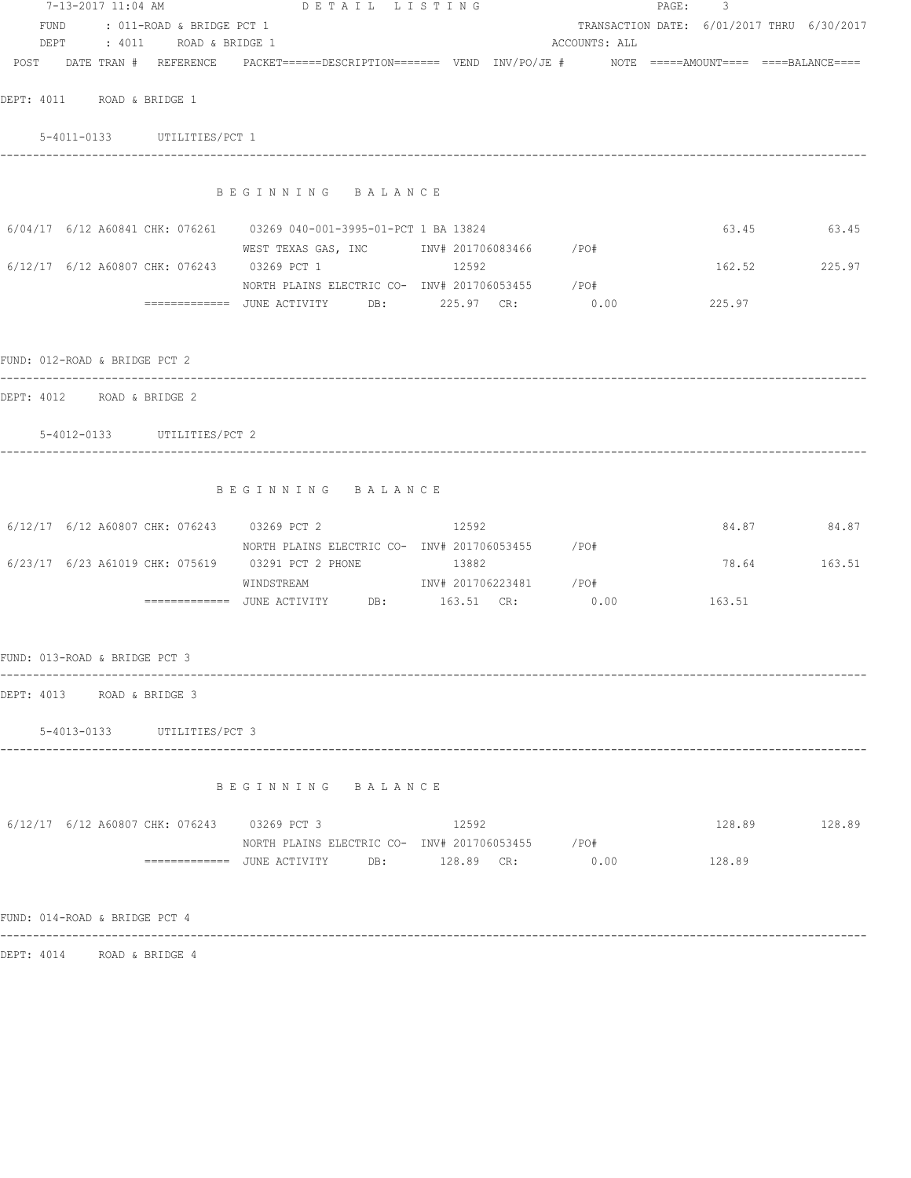|                                                                          | 7-13-2017 11:04 AM DETAIL LISTING                                                                               |               | PAGE: 3 |        |                                            |
|--------------------------------------------------------------------------|-----------------------------------------------------------------------------------------------------------------|---------------|---------|--------|--------------------------------------------|
| FUND : 011-ROAD & BRIDGE PCT 1                                           |                                                                                                                 |               |         |        | TRANSACTION DATE: 6/01/2017 THRU 6/30/2017 |
| DEPT : 4011 ROAD & BRIDGE 1                                              |                                                                                                                 | ACCOUNTS: ALL |         |        |                                            |
|                                                                          | POST DATE TRAN # REFERENCE PACKET======DESCRIPTION======= VEND INV/PO/JE # NOTE =====AMOUNT==== ====BALANCE==== |               |         |        |                                            |
| DEPT: 4011 ROAD & BRIDGE 1                                               |                                                                                                                 |               |         |        |                                            |
| 5-4011-0133 UTILITIES/PCT 1                                              |                                                                                                                 |               |         |        |                                            |
|                                                                          |                                                                                                                 |               |         |        |                                            |
|                                                                          | BEGINNING BALANCE                                                                                               |               |         |        |                                            |
| $6/04/17$ $6/12$ A60841 CHK: 076261 03269 040-001-3995-01-PCT 1 BA 13824 |                                                                                                                 |               |         |        | 63.45 63.45                                |
| 6/12/17 6/12 A60807 CHK: 076243 03269 PCT 1                              | WEST TEXAS GAS, INC MOTH 201706083466 / PO#<br>12592                                                            |               |         |        | 162.52 225.97                              |
|                                                                          | NORTH PLAINS ELECTRIC CO- INV# 201706053455 / PO#                                                               |               |         |        |                                            |
|                                                                          | ============= JUNE ACTIVITY DB: 225.97 CR: 0.00 225.97                                                          |               |         |        |                                            |
|                                                                          |                                                                                                                 |               |         |        |                                            |
| FUND: 012-ROAD & BRIDGE PCT 2                                            |                                                                                                                 |               |         |        |                                            |
| DEPT: 4012 ROAD & BRIDGE 2                                               |                                                                                                                 |               |         |        |                                            |
| 5-4012-0133 UTILITIES/PCT 2                                              |                                                                                                                 |               |         |        |                                            |
|                                                                          |                                                                                                                 |               |         |        |                                            |
|                                                                          | BEGINNING BALANCE                                                                                               |               |         |        |                                            |
| 6/12/17 6/12 A60807 CHK: 076243 03269 PCT 2                              | 12592                                                                                                           |               |         |        | 84.87 84.87                                |
|                                                                          | NORTH PLAINS ELECTRIC CO- INV# 201706053455 /PO#                                                                |               |         |        |                                            |
| 6/23/17 6/23 A61019 CHK: 075619 03291 PCT 2 PHONE 13882                  | WINDSTREAM 1NV# 201706223481 /PO#                                                                               |               |         |        | 78.64 163.51                               |
|                                                                          |                                                                                                                 |               |         |        |                                            |
|                                                                          |                                                                                                                 |               |         |        |                                            |
| FUND: 013-ROAD & BRIDGE PCT 3                                            |                                                                                                                 |               |         |        |                                            |
| DEPT: 4013 ROAD & BRIDGE 3                                               |                                                                                                                 |               |         |        |                                            |
| 5-4013-0133 UTILITIES/PCT 3                                              |                                                                                                                 |               |         |        |                                            |
|                                                                          |                                                                                                                 |               |         |        |                                            |
|                                                                          | BEGINNING BALANCE                                                                                               |               |         |        |                                            |
| 6/12/17 6/12 A60807 CHK: 076243 03269 PCT 3                              | 12592                                                                                                           |               |         |        | 128.89 128.89                              |
|                                                                          | NORTH PLAINS ELECTRIC CO- INV# 201706053455 / PO#                                                               |               |         |        |                                            |
|                                                                          |                                                                                                                 | 0.00          |         | 128.89 |                                            |
| FUND: 014-ROAD & BRIDGE PCT 4                                            |                                                                                                                 |               |         |        |                                            |
| DEPT: 4014 ROAD & BRIDGE 4                                               |                                                                                                                 |               |         |        |                                            |